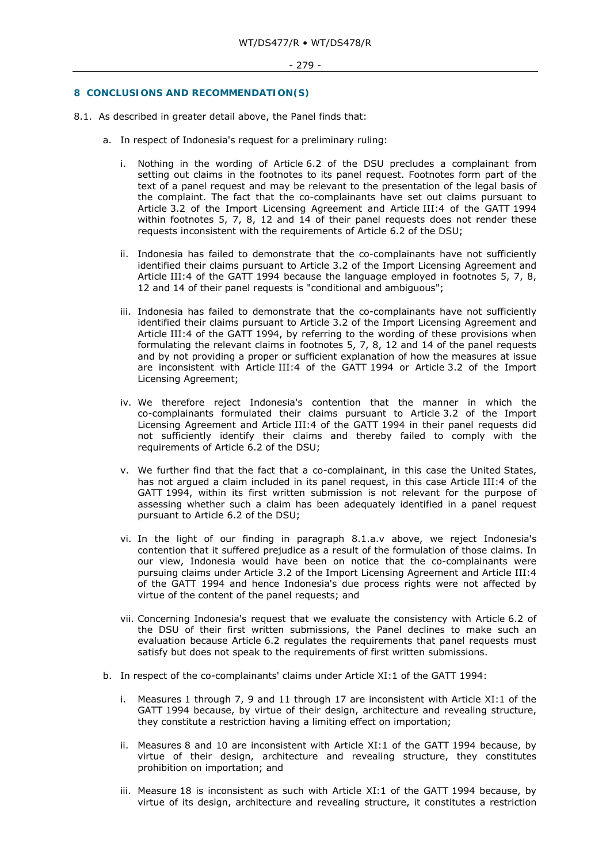## **8 CONCLUSIONS AND RECOMMENDATION(S)**

- 8.1. As described in greater detail above, the Panel *finds* that:
	- a. In respect of Indonesia's request for a preliminary ruling:
		- i. Nothing in the wording of Article 6.2 of the DSU precludes a complainant from setting out claims in the footnotes to its panel request. Footnotes form part of the text of a panel request and may be relevant to the presentation of the legal basis of the complaint. The fact that the co-complainants have set out claims pursuant to Article 3.2 of the Import Licensing Agreement and Article III:4 of the GATT 1994 within footnotes 5, 7, 8, 12 and 14 of their panel requests does not render these requests inconsistent with the requirements of Article 6.2 of the DSU;
		- ii. Indonesia has failed to demonstrate that the co-complainants have not sufficiently identified their claims pursuant to Article 3.2 of the Import Licensing Agreement and Article III:4 of the GATT 1994 because the language employed in footnotes 5, 7, 8, 12 and 14 of their panel requests is "conditional and ambiguous";
		- iii. Indonesia has failed to demonstrate that the co-complainants have not sufficiently identified their claims pursuant to Article 3.2 of the Import Licensing Agreement and Article III:4 of the GATT 1994, by referring to the wording of these provisions when formulating the relevant claims in footnotes 5, 7, 8, 12 and 14 of the panel requests and by not providing a proper or sufficient explanation of how the measures at issue are inconsistent with Article III:4 of the GATT 1994 or Article 3.2 of the Import Licensing Agreement;
		- iv. We therefore reject Indonesia's contention that the manner in which the co-complainants formulated their claims pursuant to Article 3.2 of the Import Licensing Agreement and Article III:4 of the GATT 1994 in their panel requests did not sufficiently identify their claims and thereby failed to comply with the requirements of Article 6.2 of the DSU;
		- v. We further find that the fact that a co-complainant, in this case the United States, has not argued a claim included in its panel request, in this case Article III:4 of the GATT 1994, within its first written submission is not relevant for the purpose of assessing whether such a claim has been adequately identified in a panel request pursuant to Article 6.2 of the DSU;
		- vi. In the light of our finding in paragraph 8.1.a.v above, we reject Indonesia's contention that it suffered prejudice as a result of the formulation of those claims. In our view, Indonesia would have been on notice that the co-complainants were pursuing claims under Article 3.2 of the Import Licensing Agreement and Article III:4 of the GATT 1994 and hence Indonesia's due process rights were not affected by virtue of the content of the panel requests; and
		- vii. Concerning Indonesia's request that we evaluate the consistency with Article 6.2 of the DSU of their first written submissions, the Panel declines to make such an evaluation because Article 6.2 regulates the requirements that panel requests must satisfy but does not speak to the requirements of first written submissions.
	- b. In respect of the co-complainants' claims under Article XI:1 of the GATT 1994:
		- i. Measures 1 through 7, 9 and 11 through 17 are inconsistent with Article XI:1 of the GATT 1994 because, by virtue of their design, architecture and revealing structure, they constitute a restriction having a limiting effect on importation;
		- ii. Measures 8 and 10 are inconsistent with Article XI:1 of the GATT 1994 because, by virtue of their design, architecture and revealing structure, they constitutes prohibition on importation; and
		- iii. Measure 18 is inconsistent *as such* with Article XI:1 of the GATT 1994 because, by virtue of its design, architecture and revealing structure, it constitutes a restriction